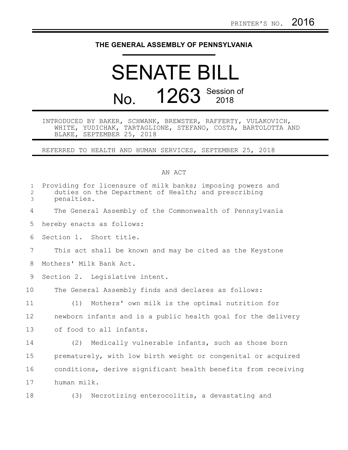## **THE GENERAL ASSEMBLY OF PENNSYLVANIA**

## SENATE BILL No. **1263** Session of

## INTRODUCED BY BAKER, SCHWANK, BREWSTER, RAFFERTY, VULAKOVICH, WHITE, YUDICHAK, TARTAGLIONE, STEFANO, COSTA, BARTOLOTTA AND BLAKE, SEPTEMBER 25, 2018

REFERRED TO HEALTH AND HUMAN SERVICES, SEPTEMBER 25, 2018

## AN ACT

| $\mathbf{1}$<br>$\overline{c}$<br>3 | Providing for licensure of milk banks; imposing powers and<br>duties on the Department of Health; and prescribing<br>penalties. |
|-------------------------------------|---------------------------------------------------------------------------------------------------------------------------------|
| 4                                   | The General Assembly of the Commonwealth of Pennsylvania                                                                        |
| 5                                   | hereby enacts as follows:                                                                                                       |
| 6                                   | Section 1. Short title.                                                                                                         |
| $\overline{7}$                      | This act shall be known and may be cited as the Keystone                                                                        |
| 8                                   | Mothers' Milk Bank Act.                                                                                                         |
| 9                                   | Section 2. Legislative intent.                                                                                                  |
| 10                                  | The General Assembly finds and declares as follows:                                                                             |
| 11                                  | (1) Mothers' own milk is the optimal nutrition for                                                                              |
| 12                                  | newborn infants and is a public health goal for the delivery                                                                    |
| 13                                  | of food to all infants.                                                                                                         |
| 14                                  | (2) Medically vulnerable infants, such as those born                                                                            |
| 15                                  | prematurely, with low birth weight or congenital or acquired                                                                    |
| 16                                  | conditions, derive significant health benefits from receiving                                                                   |
| 17                                  | human milk.                                                                                                                     |
| 18                                  | Necrotizing enterocolitis, a devastating and<br>(3)                                                                             |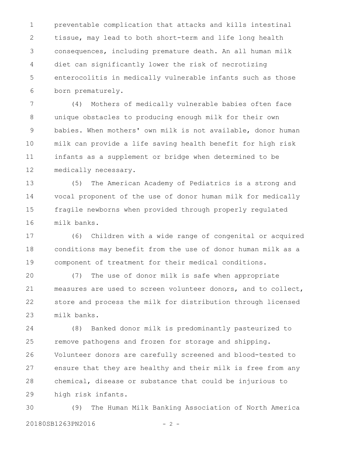preventable complication that attacks and kills intestinal tissue, may lead to both short-term and life long health consequences, including premature death. An all human milk diet can significantly lower the risk of necrotizing enterocolitis in medically vulnerable infants such as those born prematurely. 1 2 3 4 5 6

(4) Mothers of medically vulnerable babies often face unique obstacles to producing enough milk for their own babies. When mothers' own milk is not available, donor human milk can provide a life saving health benefit for high risk infants as a supplement or bridge when determined to be medically necessary. 7 8 9 10 11 12

(5) The American Academy of Pediatrics is a strong and vocal proponent of the use of donor human milk for medically fragile newborns when provided through properly regulated milk banks. 13 14 15 16

(6) Children with a wide range of congenital or acquired conditions may benefit from the use of donor human milk as a component of treatment for their medical conditions. 17 18 19

(7) The use of donor milk is safe when appropriate measures are used to screen volunteer donors, and to collect, store and process the milk for distribution through licensed milk banks. 20 21 22 23

(8) Banked donor milk is predominantly pasteurized to remove pathogens and frozen for storage and shipping. Volunteer donors are carefully screened and blood-tested to ensure that they are healthy and their milk is free from any chemical, disease or substance that could be injurious to high risk infants. 24 25 26 27 28 29

(9) The Human Milk Banking Association of North America 20180SB1263PN2016 - 2 -30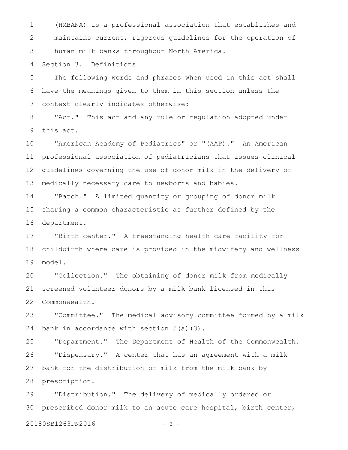(HMBANA) is a professional association that establishes and maintains current, rigorous guidelines for the operation of human milk banks throughout North America. 1 2 3

Section 3. Definitions. 4

The following words and phrases when used in this act shall have the meanings given to them in this section unless the context clearly indicates otherwise: 5 6 7

"Act." This act and any rule or regulation adopted under this act. 8 9

"American Academy of Pediatrics" or "(AAP)." An American professional association of pediatricians that issues clinical guidelines governing the use of donor milk in the delivery of medically necessary care to newborns and babies. 10 11 12 13

"Batch." A limited quantity or grouping of donor milk sharing a common characteristic as further defined by the department. 14 15 16

"Birth center." A freestanding health care facility for childbirth where care is provided in the midwifery and wellness model. 17 18 19

"Collection." The obtaining of donor milk from medically screened volunteer donors by a milk bank licensed in this Commonwealth. 20 21 22

"Committee." The medical advisory committee formed by a milk bank in accordance with section  $5(a)(3)$ . 23 24

"Department." The Department of Health of the Commonwealth. "Dispensary." A center that has an agreement with a milk bank for the distribution of milk from the milk bank by prescription. 25 26 27 28

"Distribution." The delivery of medically ordered or prescribed donor milk to an acute care hospital, birth center, 29 30

20180SB1263PN2016 - 3 -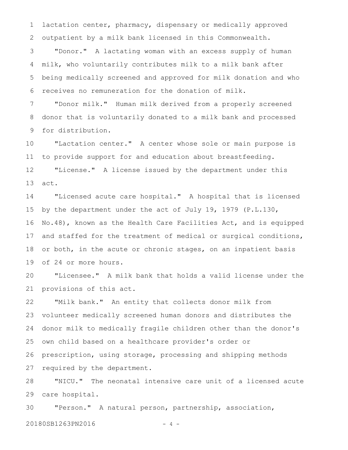lactation center, pharmacy, dispensary or medically approved outpatient by a milk bank licensed in this Commonwealth. 1 2

"Donor." A lactating woman with an excess supply of human milk, who voluntarily contributes milk to a milk bank after being medically screened and approved for milk donation and who receives no remuneration for the donation of milk. 3 4 5 6

"Donor milk." Human milk derived from a properly screened donor that is voluntarily donated to a milk bank and processed for distribution. 7 8 9

"Lactation center." A center whose sole or main purpose is to provide support for and education about breastfeeding. "License." A license issued by the department under this act. 10 11 12 13

"Licensed acute care hospital." A hospital that is licensed by the department under the act of July 19, 1979 (P.L.130, No.48), known as the Health Care Facilities Act, and is equipped and staffed for the treatment of medical or surgical conditions, or both, in the acute or chronic stages, on an inpatient basis of 24 or more hours. 14 15 16 17 18 19

"Licensee." A milk bank that holds a valid license under the provisions of this act. 20 21

"Milk bank." An entity that collects donor milk from volunteer medically screened human donors and distributes the donor milk to medically fragile children other than the donor's own child based on a healthcare provider's order or prescription, using storage, processing and shipping methods required by the department. 22 23 24 25 26 27

"NICU." The neonatal intensive care unit of a licensed acute care hospital. 28 29

"Person." A natural person, partnership, association, 20180SB1263PN2016 - 4 -30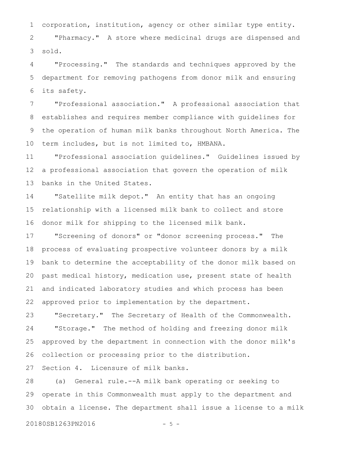corporation, institution, agency or other similar type entity. "Pharmacy." A store where medicinal drugs are dispensed and sold. 1 2 3

"Processing." The standards and techniques approved by the department for removing pathogens from donor milk and ensuring its safety. 4 5 6

"Professional association." A professional association that establishes and requires member compliance with guidelines for the operation of human milk banks throughout North America. The term includes, but is not limited to, HMBANA. 7 8 9 10

"Professional association guidelines." Guidelines issued by a professional association that govern the operation of milk banks in the United States. 11 12 13

"Satellite milk depot." An entity that has an ongoing relationship with a licensed milk bank to collect and store donor milk for shipping to the licensed milk bank. 14 15 16

"Screening of donors" or "donor screening process." The process of evaluating prospective volunteer donors by a milk bank to determine the acceptability of the donor milk based on past medical history, medication use, present state of health and indicated laboratory studies and which process has been approved prior to implementation by the department. 17 18 19 20 21 22

"Secretary." The Secretary of Health of the Commonwealth. "Storage." The method of holding and freezing donor milk approved by the department in connection with the donor milk's collection or processing prior to the distribution. 23 24 25 26

Section 4. Licensure of milk banks. 27

(a) General rule.--A milk bank operating or seeking to operate in this Commonwealth must apply to the department and obtain a license. The department shall issue a license to a milk 28 29 30

20180SB1263PN2016 - 5 -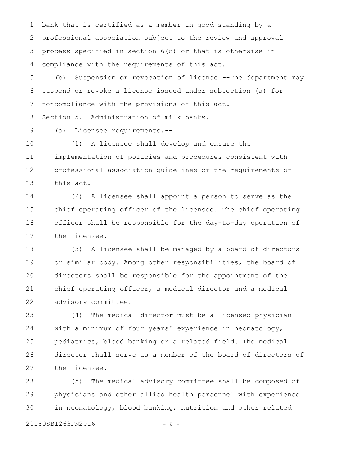bank that is certified as a member in good standing by a professional association subject to the review and approval process specified in section 6(c) or that is otherwise in compliance with the requirements of this act. 1 2 3 4

(b) Suspension or revocation of license.--The department may suspend or revoke a license issued under subsection (a) for noncompliance with the provisions of this act. 5 6 7

Section 5. Administration of milk banks. 8

(a) Licensee requirements.-- 9

(1) A licensee shall develop and ensure the implementation of policies and procedures consistent with professional association guidelines or the requirements of this act. 10 11 12 13

(2) A licensee shall appoint a person to serve as the chief operating officer of the licensee. The chief operating officer shall be responsible for the day-to-day operation of the licensee. 14 15 16 17

(3) A licensee shall be managed by a board of directors or similar body. Among other responsibilities, the board of directors shall be responsible for the appointment of the chief operating officer, a medical director and a medical advisory committee. 18 19 20 21 22

(4) The medical director must be a licensed physician with a minimum of four years' experience in neonatology, pediatrics, blood banking or a related field. The medical director shall serve as a member of the board of directors of the licensee. 23 24 25 26 27

(5) The medical advisory committee shall be composed of physicians and other allied health personnel with experience in neonatology, blood banking, nutrition and other related 28 29 30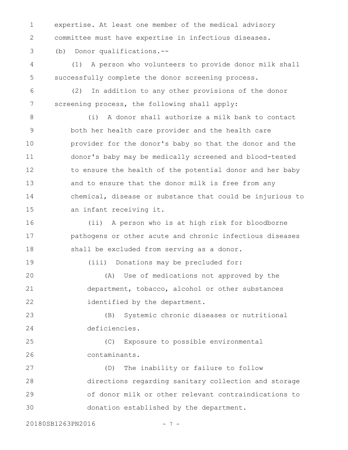expertise. At least one member of the medical advisory committee must have expertise in infectious diseases. 1 2

(b) Donor qualifications.-- 3

(1) A person who volunteers to provide donor milk shall successfully complete the donor screening process. 4 5

6

7

(2) In addition to any other provisions of the donor screening process, the following shall apply:

(i) A donor shall authorize a milk bank to contact both her health care provider and the health care provider for the donor's baby so that the donor and the donor's baby may be medically screened and blood-tested to ensure the health of the potential donor and her baby and to ensure that the donor milk is free from any chemical, disease or substance that could be injurious to an infant receiving it. 8 9 10 11 12 13 14 15

(ii) A person who is at high risk for bloodborne pathogens or other acute and chronic infectious diseases shall be excluded from serving as a donor. 16 17 18

19

(iii) Donations may be precluded for:

(A) Use of medications not approved by the department, tobacco, alcohol or other substances identified by the department. 20 21 22

(B) Systemic chronic diseases or nutritional deficiencies. 23 24

(C) Exposure to possible environmental contaminants. 25 26

(D) The inability or failure to follow directions regarding sanitary collection and storage of donor milk or other relevant contraindications to donation established by the department. 27 28 29 30

20180SB1263PN2016 - 7 -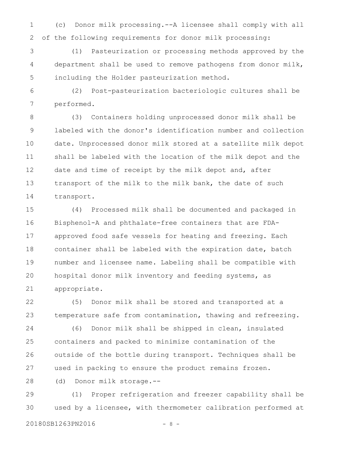(c) Donor milk processing.--A licensee shall comply with all of the following requirements for donor milk processing: 1 2

(1) Pasteurization or processing methods approved by the department shall be used to remove pathogens from donor milk, including the Holder pasteurization method. 3 4 5

(2) Post-pasteurization bacteriologic cultures shall be performed. 6 7

(3) Containers holding unprocessed donor milk shall be labeled with the donor's identification number and collection date. Unprocessed donor milk stored at a satellite milk depot shall be labeled with the location of the milk depot and the date and time of receipt by the milk depot and, after transport of the milk to the milk bank, the date of such transport. 8 9 10 11 12 13 14

(4) Processed milk shall be documented and packaged in Bisphenol-A and phthalate-free containers that are FDAapproved food safe vessels for heating and freezing. Each container shall be labeled with the expiration date, batch number and licensee name. Labeling shall be compatible with hospital donor milk inventory and feeding systems, as appropriate. 15 16 17 18 19 20 21

(5) Donor milk shall be stored and transported at a temperature safe from contamination, thawing and refreezing. 22 23

(6) Donor milk shall be shipped in clean, insulated containers and packed to minimize contamination of the outside of the bottle during transport. Techniques shall be used in packing to ensure the product remains frozen. 24 25 26 27

(d) Donor milk storage.-- 28

(1) Proper refrigeration and freezer capability shall be used by a licensee, with thermometer calibration performed at 29 30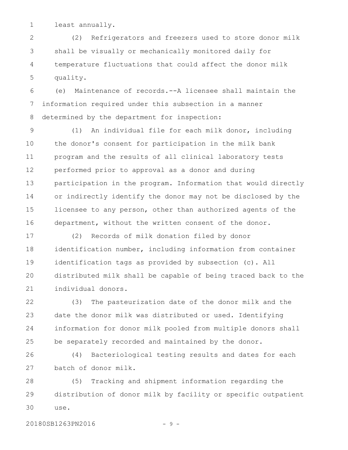least annually. 1

(2) Refrigerators and freezers used to store donor milk shall be visually or mechanically monitored daily for temperature fluctuations that could affect the donor milk quality. 2 3 4 5

(e) Maintenance of records.--A licensee shall maintain the information required under this subsection in a manner determined by the department for inspection: 6 7 8

(1) An individual file for each milk donor, including the donor's consent for participation in the milk bank program and the results of all clinical laboratory tests performed prior to approval as a donor and during participation in the program. Information that would directly or indirectly identify the donor may not be disclosed by the licensee to any person, other than authorized agents of the department, without the written consent of the donor. 9 10 11 12 13 14 15 16

(2) Records of milk donation filed by donor identification number, including information from container identification tags as provided by subsection (c). All distributed milk shall be capable of being traced back to the individual donors. 17 18 19 20 21

(3) The pasteurization date of the donor milk and the date the donor milk was distributed or used. Identifying information for donor milk pooled from multiple donors shall be separately recorded and maintained by the donor. 22 23 24 25

(4) Bacteriological testing results and dates for each batch of donor milk. 26 27

(5) Tracking and shipment information regarding the distribution of donor milk by facility or specific outpatient use. 28 29 30

20180SB1263PN2016 - 9 -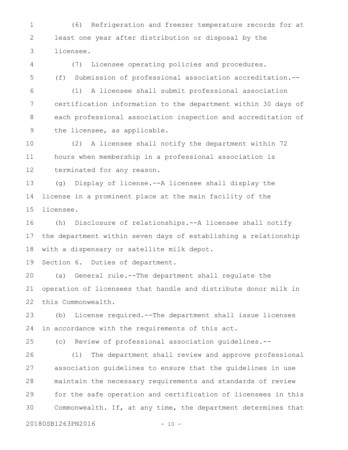(6) Refrigeration and freezer temperature records for at least one year after distribution or disposal by the licensee. 1 2 3

(7) Licensee operating policies and procedures. (f) Submission of professional association accreditation.-- 4 5

(1) A licensee shall submit professional association certification information to the department within 30 days of each professional association inspection and accreditation of the licensee, as applicable. 6 7 8 9

(2) A licensee shall notify the department within 72 hours when membership in a professional association is terminated for any reason. 10 11 12

(g) Display of license.--A licensee shall display the license in a prominent place at the main facility of the licensee. 13 14 15

(h) Disclosure of relationships.--A licensee shall notify the department within seven days of establishing a relationship with a dispensary or satellite milk depot. 16 17 18

Section 6. Duties of department. 19

(a) General rule.--The department shall regulate the operation of licensees that handle and distribute donor milk in this Commonwealth. 20 21 22

(b) License required.--The department shall issue licenses in accordance with the requirements of this act. 23 24

25

(c) Review of professional association guidelines.--

(1) The department shall review and approve professional association guidelines to ensure that the guidelines in use maintain the necessary requirements and standards of review for the safe operation and certification of licensees in this Commonwealth. If, at any time, the department determines that 26 27 28 29 30

20180SB1263PN2016 - 10 -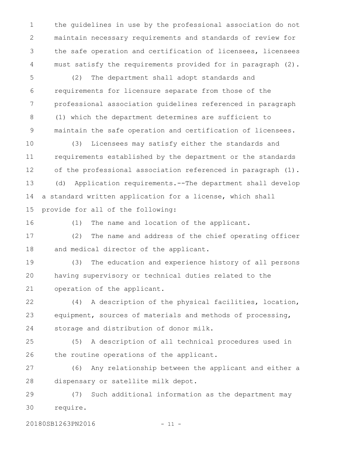the guidelines in use by the professional association do not maintain necessary requirements and standards of review for the safe operation and certification of licensees, licensees must satisfy the requirements provided for in paragraph (2). 1 2 3 4

(2) The department shall adopt standards and requirements for licensure separate from those of the professional association guidelines referenced in paragraph (1) which the department determines are sufficient to maintain the safe operation and certification of licensees. 5 6 7 8 9

(3) Licensees may satisfy either the standards and requirements established by the department or the standards of the professional association referenced in paragraph (1). (d) Application requirements.--The department shall develop a standard written application for a license, which shall provide for all of the following: 10 11 12 13 14 15

(1) The name and location of the applicant. 16

(2) The name and address of the chief operating officer and medical director of the applicant. 17 18

(3) The education and experience history of all persons having supervisory or technical duties related to the operation of the applicant. 19 20 21

(4) A description of the physical facilities, location, equipment, sources of materials and methods of processing, storage and distribution of donor milk. 22 23 24

(5) A description of all technical procedures used in the routine operations of the applicant. 25 26

(6) Any relationship between the applicant and either a dispensary or satellite milk depot. 27 28

(7) Such additional information as the department may require. 29 30

20180SB1263PN2016 - 11 -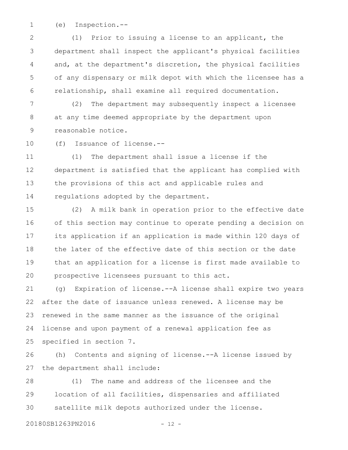(e) Inspection.-- 1

(1) Prior to issuing a license to an applicant, the department shall inspect the applicant's physical facilities and, at the department's discretion, the physical facilities of any dispensary or milk depot with which the licensee has a relationship, shall examine all required documentation. 2 3 4 5 6

(2) The department may subsequently inspect a licensee at any time deemed appropriate by the department upon reasonable notice. 7 8 9

(f) Issuance of license.-- 10

(1) The department shall issue a license if the department is satisfied that the applicant has complied with the provisions of this act and applicable rules and regulations adopted by the department. 11 12 13 14

(2) A milk bank in operation prior to the effective date of this section may continue to operate pending a decision on its application if an application is made within 120 days of the later of the effective date of this section or the date that an application for a license is first made available to prospective licensees pursuant to this act. 15 16 17 18 19 20

(g) Expiration of license.--A license shall expire two years after the date of issuance unless renewed. A license may be renewed in the same manner as the issuance of the original license and upon payment of a renewal application fee as specified in section 7. 21 22 23 24 25

(h) Contents and signing of license.--A license issued by the department shall include: 26 27

(1) The name and address of the licensee and the location of all facilities, dispensaries and affiliated satellite milk depots authorized under the license. 28 29 30

20180SB1263PN2016 - 12 -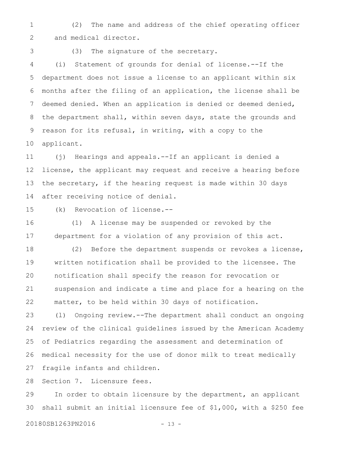(2) The name and address of the chief operating officer and medical director. 1 2

3

(3) The signature of the secretary.

(i) Statement of grounds for denial of license.--If the department does not issue a license to an applicant within six months after the filing of an application, the license shall be deemed denied. When an application is denied or deemed denied, the department shall, within seven days, state the grounds and reason for its refusal, in writing, with a copy to the applicant. 4 5 6 7 8 9 10

(j) Hearings and appeals.--If an applicant is denied a license, the applicant may request and receive a hearing before the secretary, if the hearing request is made within 30 days after receiving notice of denial. 11 12 13 14

(k) Revocation of license.-- 15

(1) A license may be suspended or revoked by the department for a violation of any provision of this act. 16 17

(2) Before the department suspends or revokes a license, written notification shall be provided to the licensee. The notification shall specify the reason for revocation or suspension and indicate a time and place for a hearing on the matter, to be held within 30 days of notification. 18 19 20 21 22

(l) Ongoing review.--The department shall conduct an ongoing review of the clinical guidelines issued by the American Academy of Pediatrics regarding the assessment and determination of medical necessity for the use of donor milk to treat medically fragile infants and children. 23 24 25 26 27

Section 7. Licensure fees. 28

In order to obtain licensure by the department, an applicant shall submit an initial licensure fee of \$1,000, with a \$250 fee 29 30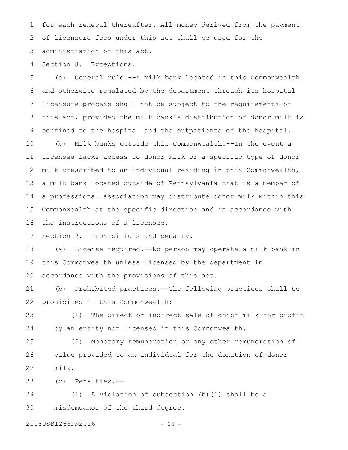for each renewal thereafter. All money derived from the payment of licensure fees under this act shall be used for the administration of this act. 1 2 3

Section 8. Exceptions. 4

(a) General rule.--A milk bank located in this Commonwealth and otherwise regulated by the department through its hospital licensure process shall not be subject to the requirements of this act, provided the milk bank's distribution of donor milk is confined to the hospital and the outpatients of the hospital. (b) Milk banks outside this Commonwealth.--In the event a licensee lacks access to donor milk or a specific type of donor milk prescribed to an individual residing in this Commonwealth, a milk bank located outside of Pennsylvania that is a member of a professional association may distribute donor milk within this Commonwealth at the specific direction and in accordance with the instructions of a licensee. 5 6 7 8 9 10 11 12 13 14 15 16

Section 9. Prohibitions and penalty. 17

(a) License required.--No person may operate a milk bank in this Commonwealth unless licensed by the department in accordance with the provisions of this act. 18 19 20

(b) Prohibited practices.--The following practices shall be prohibited in this Commonwealth: 21 22

(1) The direct or indirect sale of donor milk for profit by an entity not licensed in this Commonwealth. 23 24

(2) Monetary remuneration or any other remuneration of value provided to an individual for the donation of donor milk. 25 26 27

(c) Penalties.-- 28

(1) A violation of subsection (b)(1) shall be a misdemeanor of the third degree. 29 30

20180SB1263PN2016 - 14 -